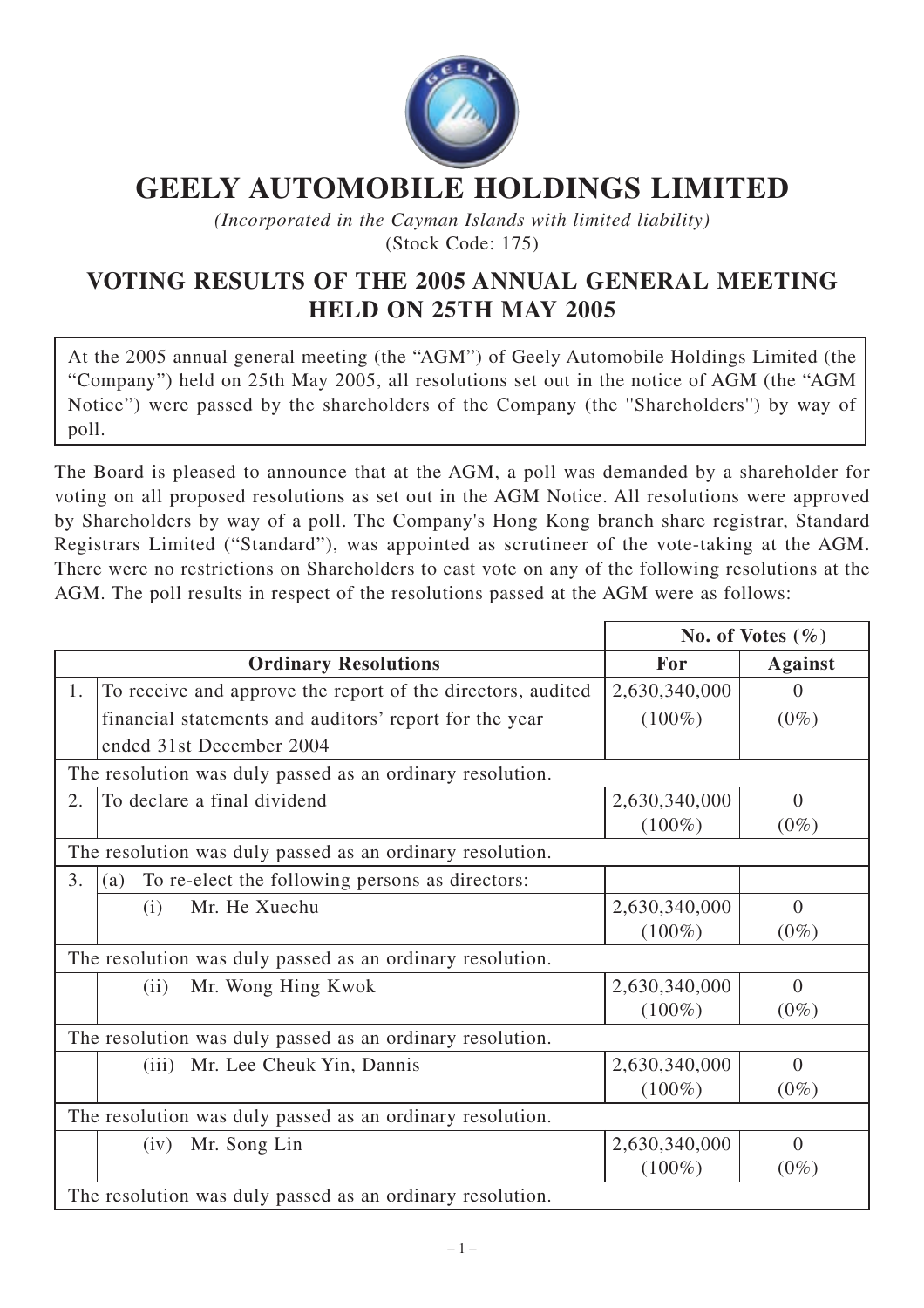

## **GEELY AUTOMOBILE HOLDINGS LIMITED**

*(Incorporated in the Cayman Islands with limited liability)* (Stock Code: 175)

## **VOTING RESULTS OF THE 2005 ANNUAL GENERAL MEETING HELD ON 25TH MAY 2005**

At the 2005 annual general meeting (the "AGM") of Geely Automobile Holdings Limited (the "Company") held on 25th May 2005, all resolutions set out in the notice of AGM (the "AGM Notice") were passed by the shareholders of the Company (the ''Shareholders'') by way of poll.

The Board is pleased to announce that at the AGM, a poll was demanded by a shareholder for voting on all proposed resolutions as set out in the AGM Notice. All resolutions were approved by Shareholders by way of a poll. The Company's Hong Kong branch share registrar, Standard Registrars Limited ("Standard"), was appointed as scrutineer of the vote-taking at the AGM. There were no restrictions on Shareholders to cast vote on any of the following resolutions at the AGM. The poll results in respect of the resolutions passed at the AGM were as follows:

|                                                           |                                                             | No. of Votes $(\% )$ |                |  |
|-----------------------------------------------------------|-------------------------------------------------------------|----------------------|----------------|--|
|                                                           | <b>Ordinary Resolutions</b>                                 | For                  | <b>Against</b> |  |
| 1.                                                        | To receive and approve the report of the directors, audited | 2,630,340,000        | $\Omega$       |  |
|                                                           | financial statements and auditors' report for the year      | $(100\%)$            | $(0\%)$        |  |
|                                                           | ended 31st December 2004                                    |                      |                |  |
| The resolution was duly passed as an ordinary resolution. |                                                             |                      |                |  |
| 2.                                                        | To declare a final dividend                                 | 2,630,340,000        | $\overline{0}$ |  |
|                                                           |                                                             | $(100\%)$            | $(0\%)$        |  |
| The resolution was duly passed as an ordinary resolution. |                                                             |                      |                |  |
| 3.                                                        | To re-elect the following persons as directors:<br>(a)      |                      |                |  |
|                                                           | Mr. He Xuechu<br>(i)                                        | 2,630,340,000        | $\theta$       |  |
|                                                           |                                                             | $(100\%)$            | $(0\%)$        |  |
| The resolution was duly passed as an ordinary resolution. |                                                             |                      |                |  |
|                                                           | Mr. Wong Hing Kwok<br>(ii)                                  | 2,630,340,000        | $\theta$       |  |
|                                                           |                                                             | $(100\%)$            | $(0\%)$        |  |
| The resolution was duly passed as an ordinary resolution. |                                                             |                      |                |  |
|                                                           | Mr. Lee Cheuk Yin, Dannis<br>(iii)                          | 2,630,340,000        | $\Omega$       |  |
|                                                           |                                                             | $(100\%)$            | $(0\%)$        |  |
| The resolution was duly passed as an ordinary resolution. |                                                             |                      |                |  |
|                                                           | Mr. Song Lin<br>(iv)                                        | 2,630,340,000        | $\Omega$       |  |
|                                                           |                                                             | $(100\%)$            | $(0\%)$        |  |
|                                                           | The resolution was duly passed as an ordinary resolution.   |                      |                |  |